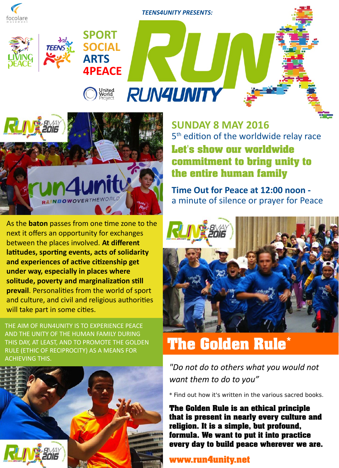

*TEENS4UNITY PRESENTS:*

**RUN4UNITY** 



**SPORT**

**SOCIAL**

**4PEACE**

**United<br>World**<br>Proiect

**ARTS**

As the **baton** passes from one time zone to the next it offers an opportunity for exchanges between the places involved. **At different latitudes, sporting events, acts of solidarity and experiences of active citizenship get under way, especially in places where solitude, poverty and marginalization still prevail**. Personalities from the world of sport and culture, and civil and religious authorities will take part in some cities.

THE AIM OF RUN4UNITY IS TO EXPERIENCE PEACE AND THE UNITY OF THE HUMAN FAMILY DURING THIS DAY, AT LEAST, AND TO PROMOTE THE GOLDEN RULE (ETHIC OF RECIPROCITY) AS A MEANS FOR ACHIEVING THIS.



**SUNDAY 8 MAY 2016** 5<sup>th</sup> edition of the worldwide relay race

**Let's show our worldwide commitment to bring unity to the entire human family**

**Time Out for Peace at 12:00 noon**  a minute of silence or prayer for Peace



# **The Golden Rule\***

*"Do not do to others what you would not want them to do to you"*

\* Find out how it's written in the various sacred books.

**The Golden Rule is an ethical principle that is present in nearly every culture and religion. It is a simple, but profound, formula. We want to put it into practice every day to build peace wherever we are.**

### **www.run4unity.net**